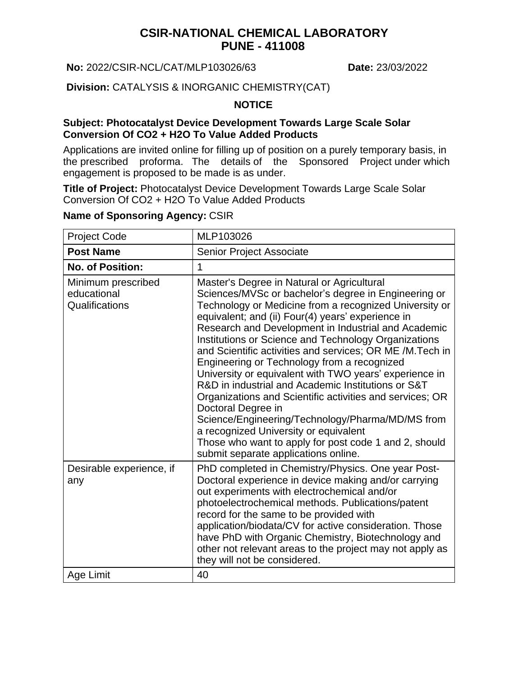# **CSIR-NATIONAL CHEMICAL LABORATORY PUNE - 411008**

**No:** 2022/CSIR-NCL/CAT/MLP103026/63 **Date:** 23/03/2022

**Division:** CATALYSIS & INORGANIC CHEMISTRY(CAT)

### **NOTICE**

#### **Subject: Photocatalyst Device Development Towards Large Scale Solar Conversion Of CO2 + H2O To Value Added Products**

Applications are invited online for filling up of position on a purely temporary basis, in the prescribed proforma. The details of the Sponsored Project under which engagement is proposed to be made is as under.

**Title of Project:** Photocatalyst Device Development Towards Large Scale Solar Conversion Of CO2 + H2O To Value Added Products

#### **Name of Sponsoring Agency:** CSIR

| <b>Project Code</b>                                 | MLP103026                                                                                                                                                                                                                                                                                                                                                                                                                                                                                                                                                                                                                                                                                                                                                                                                                                   |
|-----------------------------------------------------|---------------------------------------------------------------------------------------------------------------------------------------------------------------------------------------------------------------------------------------------------------------------------------------------------------------------------------------------------------------------------------------------------------------------------------------------------------------------------------------------------------------------------------------------------------------------------------------------------------------------------------------------------------------------------------------------------------------------------------------------------------------------------------------------------------------------------------------------|
| <b>Post Name</b>                                    | Senior Project Associate                                                                                                                                                                                                                                                                                                                                                                                                                                                                                                                                                                                                                                                                                                                                                                                                                    |
| <b>No. of Position:</b>                             | 1                                                                                                                                                                                                                                                                                                                                                                                                                                                                                                                                                                                                                                                                                                                                                                                                                                           |
| Minimum prescribed<br>educational<br>Qualifications | Master's Degree in Natural or Agricultural<br>Sciences/MVSc or bachelor's degree in Engineering or<br>Technology or Medicine from a recognized University or<br>equivalent; and (ii) Four(4) years' experience in<br>Research and Development in Industrial and Academic<br>Institutions or Science and Technology Organizations<br>and Scientific activities and services; OR ME /M.Tech in<br>Engineering or Technology from a recognized<br>University or equivalent with TWO years' experience in<br>R&D in industrial and Academic Institutions or S&T<br>Organizations and Scientific activities and services; OR<br>Doctoral Degree in<br>Science/Engineering/Technology/Pharma/MD/MS from<br>a recognized University or equivalent<br>Those who want to apply for post code 1 and 2, should<br>submit separate applications online. |
| Desirable experience, if<br>any                     | PhD completed in Chemistry/Physics. One year Post-<br>Doctoral experience in device making and/or carrying<br>out experiments with electrochemical and/or<br>photoelectrochemical methods. Publications/patent<br>record for the same to be provided with<br>application/biodata/CV for active consideration. Those<br>have PhD with Organic Chemistry, Biotechnology and<br>other not relevant areas to the project may not apply as<br>they will not be considered.                                                                                                                                                                                                                                                                                                                                                                       |
| Age Limit                                           | 40                                                                                                                                                                                                                                                                                                                                                                                                                                                                                                                                                                                                                                                                                                                                                                                                                                          |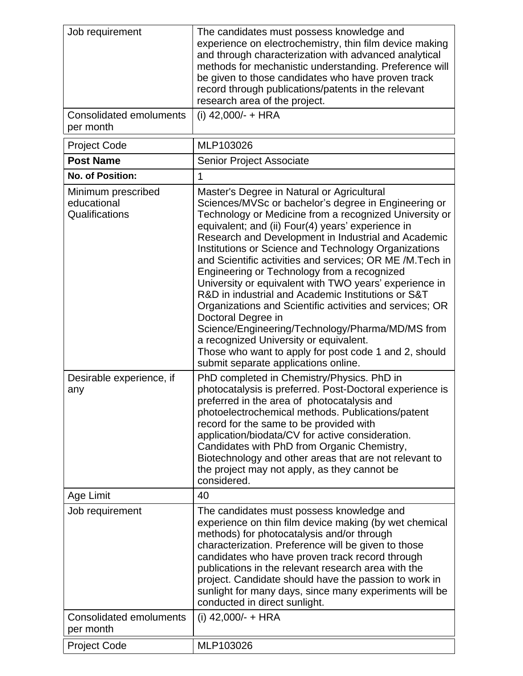| Job requirement<br><b>Consolidated emoluments</b>   | The candidates must possess knowledge and<br>experience on electrochemistry, thin film device making<br>and through characterization with advanced analytical<br>methods for mechanistic understanding. Preference will<br>be given to those candidates who have proven track<br>record through publications/patents in the relevant<br>research area of the project.<br>(i) $42,000/- + HRA$                                                                                                                                                                                                                                                                                                                                                                                                                                                |
|-----------------------------------------------------|----------------------------------------------------------------------------------------------------------------------------------------------------------------------------------------------------------------------------------------------------------------------------------------------------------------------------------------------------------------------------------------------------------------------------------------------------------------------------------------------------------------------------------------------------------------------------------------------------------------------------------------------------------------------------------------------------------------------------------------------------------------------------------------------------------------------------------------------|
| per month                                           |                                                                                                                                                                                                                                                                                                                                                                                                                                                                                                                                                                                                                                                                                                                                                                                                                                              |
| <b>Project Code</b>                                 | MLP103026                                                                                                                                                                                                                                                                                                                                                                                                                                                                                                                                                                                                                                                                                                                                                                                                                                    |
| <b>Post Name</b>                                    | <b>Senior Project Associate</b>                                                                                                                                                                                                                                                                                                                                                                                                                                                                                                                                                                                                                                                                                                                                                                                                              |
| <b>No. of Position:</b>                             | 1                                                                                                                                                                                                                                                                                                                                                                                                                                                                                                                                                                                                                                                                                                                                                                                                                                            |
| Minimum prescribed<br>educational<br>Qualifications | Master's Degree in Natural or Agricultural<br>Sciences/MVSc or bachelor's degree in Engineering or<br>Technology or Medicine from a recognized University or<br>equivalent; and (ii) Four(4) years' experience in<br>Research and Development in Industrial and Academic<br>Institutions or Science and Technology Organizations<br>and Scientific activities and services; OR ME /M.Tech in<br>Engineering or Technology from a recognized<br>University or equivalent with TWO years' experience in<br>R&D in industrial and Academic Institutions or S&T<br>Organizations and Scientific activities and services; OR<br>Doctoral Degree in<br>Science/Engineering/Technology/Pharma/MD/MS from<br>a recognized University or equivalent.<br>Those who want to apply for post code 1 and 2, should<br>submit separate applications online. |
| Desirable experience, if<br>any                     | PhD completed in Chemistry/Physics. PhD in<br>photocatalysis is preferred. Post-Doctoral experience is<br>preferred in the area of photocatalysis and<br>photoelectrochemical methods. Publications/patent<br>record for the same to be provided with<br>application/biodata/CV for active consideration.<br>Candidates with PhD from Organic Chemistry,<br>Biotechnology and other areas that are not relevant to<br>the project may not apply, as they cannot be<br>considered.                                                                                                                                                                                                                                                                                                                                                            |
| Age Limit                                           | 40                                                                                                                                                                                                                                                                                                                                                                                                                                                                                                                                                                                                                                                                                                                                                                                                                                           |
| Job requirement                                     | The candidates must possess knowledge and<br>experience on thin film device making (by wet chemical<br>methods) for photocatalysis and/or through<br>characterization. Preference will be given to those<br>candidates who have proven track record through<br>publications in the relevant research area with the<br>project. Candidate should have the passion to work in<br>sunlight for many days, since many experiments will be<br>conducted in direct sunlight.                                                                                                                                                                                                                                                                                                                                                                       |
| <b>Consolidated emoluments</b><br>per month         | (i) $42,000/- + HRA$                                                                                                                                                                                                                                                                                                                                                                                                                                                                                                                                                                                                                                                                                                                                                                                                                         |
| <b>Project Code</b>                                 | MLP103026                                                                                                                                                                                                                                                                                                                                                                                                                                                                                                                                                                                                                                                                                                                                                                                                                                    |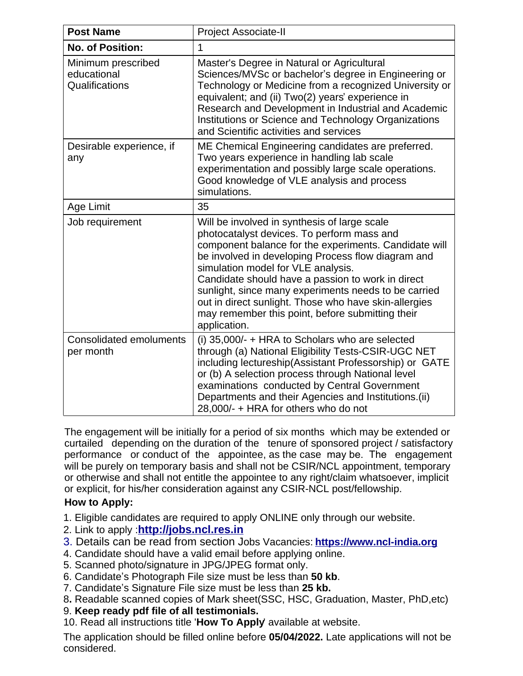| <b>Post Name</b>                                    | <b>Project Associate-II</b>                                                                                                                                                                                                                                                                                                                                                                                                                                                               |
|-----------------------------------------------------|-------------------------------------------------------------------------------------------------------------------------------------------------------------------------------------------------------------------------------------------------------------------------------------------------------------------------------------------------------------------------------------------------------------------------------------------------------------------------------------------|
| <b>No. of Position:</b>                             | 1                                                                                                                                                                                                                                                                                                                                                                                                                                                                                         |
| Minimum prescribed<br>educational<br>Qualifications | Master's Degree in Natural or Agricultural<br>Sciences/MVSc or bachelor's degree in Engineering or<br>Technology or Medicine from a recognized University or<br>equivalent; and (ii) Two(2) years' experience in<br>Research and Development in Industrial and Academic<br>Institutions or Science and Technology Organizations<br>and Scientific activities and services                                                                                                                 |
| Desirable experience, if<br>any                     | ME Chemical Engineering candidates are preferred.<br>Two years experience in handling lab scale<br>experimentation and possibly large scale operations.<br>Good knowledge of VLE analysis and process<br>simulations.                                                                                                                                                                                                                                                                     |
| Age Limit                                           | 35                                                                                                                                                                                                                                                                                                                                                                                                                                                                                        |
| Job requirement                                     | Will be involved in synthesis of large scale<br>photocatalyst devices. To perform mass and<br>component balance for the experiments. Candidate will<br>be involved in developing Process flow diagram and<br>simulation model for VLE analysis.<br>Candidate should have a passion to work in direct<br>sunlight, since many experiments needs to be carried<br>out in direct sunlight. Those who have skin-allergies<br>may remember this point, before submitting their<br>application. |
| <b>Consolidated emoluments</b><br>per month         | (i) 35,000/- + HRA to Scholars who are selected<br>through (a) National Eligibility Tests-CSIR-UGC NET<br>including lectureship(Assistant Professorship) or GATE<br>or (b) A selection process through National level<br>examinations conducted by Central Government<br>Departments and their Agencies and Institutions. (ii)<br>28,000/- + HRA for others who do not                                                                                                                    |

The engagement will be initially for a period of six months which may be extended or curtailed depending on the duration of the tenure of sponsored project / satisfactory performance or conduct of the appointee, as the case may be. The engagement will be purely on temporary basis and shall not be CSIR/NCL appointment, temporary or otherwise and shall not entitle the appointee to any right/claim whatsoever, implicit or explicit, for his/her consideration against any CSIR-NCL post/fellowship.

## **How to Apply:**

- 1. Eligible candidates are required to apply ONLINE only through our website.
- 2. Link to apply :**[http://jobs.ncl.res.in](http://jobs.ncl.res.in/)**
- 3. Details can be read from section Jobs Vacancies: **[https://www.ncl-india.org](https://www.ncl-india.org/files/JoinUs/JobVacancies/TemporaryJobs.aspx)**
- 4. Candidate should have a valid email before applying online.
- 5. Scanned photo/signature in JPG/JPEG format only.
- 6. Candidate's Photograph File size must be less than **50 kb**.
- 7. Candidate's Signature File size must be less than **25 kb.**
- 8**.** Readable scanned copies of Mark sheet(SSC, HSC, Graduation, Master, PhD,etc)
- 9. **Keep ready pdf file of all testimonials.**
- 10. Read all instructions title '**How To Apply**' available at website.

The application should be filled online before **05/04/2022.** Late applications will not be considered.